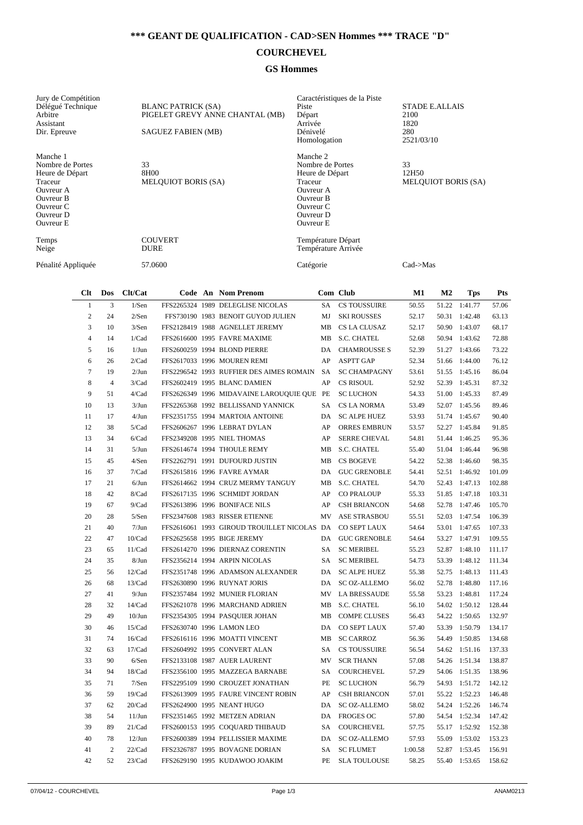## **\*\*\* GEANT DE QUALIFICATION - CAD>SEN Hommes \*\*\* TRACE "D"**

## **COURCHEVEL**

## **GS Hommes**

| Jury de Compétition<br>Délégué Technique<br>Arbitre<br>Assistant<br>Dir. Epreuve                                            | <b>BLANC PATRICK (SA)</b><br>PIGELET GREVY ANNE CHANTAL (MB)<br><b>SAGUEZ FABIEN (MB)</b> | Caractéristiques de la Piste<br>Piste<br>Départ<br>Arrivée<br>Dénivelé<br>Homologation                                             | <b>STADE E.ALLAIS</b><br>2100<br>1820<br>280<br>2521/03/10 |
|-----------------------------------------------------------------------------------------------------------------------------|-------------------------------------------------------------------------------------------|------------------------------------------------------------------------------------------------------------------------------------|------------------------------------------------------------|
| Manche 1<br>Nombre de Portes<br>Heure de Départ<br>Traceur<br>Ouvreur A<br>Ouvreur B<br>Ouvreur C<br>Ouvreur D<br>Ouvreur E | 33<br>8H00<br><b>MELQUIOT BORIS (SA)</b>                                                  | Manche 2<br>Nombre de Portes<br>Heure de Départ<br>Traceur<br>Ouvreur A<br><b>Ouvreur B</b><br>Ouvreur C<br>Ouvreur D<br>Ouvreur E | 33<br>12H50<br><b>MELQUIOT BORIS (SA)</b>                  |
| Temps<br>Neige                                                                                                              | <b>COUVERT</b><br><b>DURE</b>                                                             | Température Départ<br>Température Arrivée                                                                                          |                                                            |
| Pénalité Appliquée                                                                                                          | 57.0600                                                                                   | Catégorie                                                                                                                          | $Cad$ $>$ Mas                                              |

| Clt            | Dos            | Clt/Cat   |  | Code An Nom Prenom                          |           | Com Club            | M1      | M <sub>2</sub> | <b>Tps</b>    | <b>Pts</b> |
|----------------|----------------|-----------|--|---------------------------------------------|-----------|---------------------|---------|----------------|---------------|------------|
| $\mathbf{1}$   | 3              | 1/Sen     |  | FFS2265324 1989 DELEGLISE NICOLAS           | <b>SA</b> | <b>CS TOUSSUIRE</b> | 50.55   | 51.22          | 1:41.77       | 57.06      |
| $\overline{c}$ | 24             | 2/Sen     |  | FFS730190 1983 BENOIT GUYOD JULIEN          | MJ        | <b>SKI ROUSSES</b>  | 52.17   | 50.31          | 1:42.48       | 63.13      |
| 3              | 10             | 3/Sen     |  | FFS2128419 1988 AGNELLET JEREMY             | MB        | CS LA CLUSAZ        | 52.17   | 50.90          | 1:43.07       | 68.17      |
| $\overline{4}$ | 14             | 1/Cad     |  | FFS2616600 1995 FAVRE MAXIME                | MB        | S.C. CHATEL         | 52.68   |                | 50.94 1:43.62 | 72.88      |
| 5              | 16             | $1/J$ un  |  | FFS2600259 1994 BLOND PIERRE                | DA        | <b>CHAMROUSSE S</b> | 52.39   | 51.27          | 1:43.66       | 73.22      |
| 6              | 26             | 2/Cad     |  | FFS2617033 1996 MOUREN REMI                 | AP        | <b>ASPTT GAP</b>    | 52.34   | 51.66          | 1:44.00       | 76.12      |
| $\overline{7}$ | 19             | $2/J$ un  |  | FFS2296542 1993 RUFFIER DES AIMES ROMAIN    | SA        | <b>SC CHAMPAGNY</b> | 53.61   | 51.55          | 1:45.16       | 86.04      |
| 8              | $\overline{4}$ | 3/Cad     |  | FFS2602419 1995 BLANC DAMIEN                | AP        | <b>CS RISOUL</b>    | 52.92   |                | 52.39 1:45.31 | 87.32      |
| 9              | 51             | 4/Cad     |  | FFS2626349 1996 MIDAVAINE LAROUQUIE QUE PE  |           | <b>SC LUCHON</b>    | 54.33   |                | 51.00 1:45.33 | 87.49      |
| 10             | 13             | $3/J$ un  |  | FFS2265368 1992 BELLISSAND YANNICK          | SA        | CS LA NORMA         | 53.49   |                | 52.07 1:45.56 | 89.46      |
| 11             | 17             | $4/J$ un  |  | FFS2351755 1994 MARTOIA ANTOINE             | DA.       | <b>SC ALPE HUEZ</b> | 53.93   |                | 51.74 1:45.67 | 90.40      |
| 12             | 38             | 5/Cad     |  | FFS2606267 1996 LEBRAT DYLAN                | AP        | <b>ORRES EMBRUN</b> | 53.57   | 52.27          | 1:45.84       | 91.85      |
| 13             | 34             | 6/Cad     |  | FFS2349208 1995 NIEL THOMAS                 | AP        | <b>SERRE CHEVAL</b> | 54.81   | 51.44          | 1:46.25       | 95.36      |
| 14             | 31             | $5/J$ un  |  | FFS2614674 1994 THOULE REMY                 | MB        | <b>S.C. CHATEL</b>  | 55.40   | 51.04          | 1:46.44       | 96.98      |
| 15             | 45             | 4/Sen     |  | FFS2262791 1991 DUFOURD JUSTIN              | MB        | <b>CS BOGEVE</b>    | 54.22   | 52.38          | 1:46.60       | 98.35      |
| 16             | 37             | 7/Cad     |  | FFS2615816 1996 FAVRE AYMAR                 | DA        | <b>GUC GRENOBLE</b> | 54.41   | 52.51          | 1:46.92       | 101.09     |
| 17             | 21             | $6/J$ un  |  | FFS2614662 1994 CRUZ MERMY TANGUY           | MB        | S.C. CHATEL         | 54.70   |                | 52.43 1:47.13 | 102.88     |
| 18             | 42             | 8/Cad     |  | FFS2617135 1996 SCHMIDT JORDAN              | AP        | <b>CO PRALOUP</b>   | 55.33   | 51.85          | 1:47.18       | 103.31     |
| 19             | 67             | 9/Cad     |  | FFS2613896 1996 BONIFACE NILS               | AP        | <b>CSH BRIANCON</b> | 54.68   | 52.78          | 1:47.46       | 105.70     |
| 20             | 28             | 5/Sen     |  | FFS2347608 1983 RISSER ETIENNE              | MV        | <b>ASE STRASBOU</b> | 55.51   | 52.03          | 1:47.54       | 106.39     |
| 21             | 40             | $7/J$ un  |  | FFS2616061 1993 GIROUD TROUILLET NICOLAS DA |           | CO SEPT LAUX        | 54.64   | 53.01          | 1:47.65       | 107.33     |
| 22             | 47             | 10/Cad    |  | FFS2625658 1995 BIGE JEREMY                 | <b>DA</b> | <b>GUC GRENOBLE</b> | 54.64   | 53.27          | 1:47.91       | 109.55     |
| 23             | 65             | 11/Cad    |  | FFS2614270 1996 DIERNAZ CORENTIN            | SA        | <b>SC MERIBEL</b>   | 55.23   | 52.87          | 1:48.10       | 111.17     |
| 24             | 35             | $8/J$ un  |  | FFS2356214 1994 ARPIN NICOLAS               | SA        | <b>SC MERIBEL</b>   | 54.73   | 53.39          | 1:48.12       | 111.34     |
| 25             | 56             | 12/Cad    |  | FFS2351748 1996 ADAMSON ALEXANDER           | DA        | <b>SC ALPE HUEZ</b> | 55.38   | 52.75          | 1:48.13       | 111.43     |
| 26             | 68             | 13/Cad    |  | FFS2630890 1996 RUYNAT JORIS                | DA        | <b>SC OZ-ALLEMO</b> | 56.02   | 52.78          | 1:48.80       | 117.16     |
| 27             | 41             | 9/Jun     |  | FFS2357484 1992 MUNIER FLORIAN              | MV        | <b>LA BRESSAUDE</b> | 55.58   | 53.23          | 1:48.81       | 117.24     |
| 28             | 32             | 14/Cad    |  | FFS2621078 1996 MARCHAND ADRIEN             | MB        | S.C. CHATEL         | 56.10   | 54.02          | 1:50.12       | 128.44     |
| 29             | 49             | $10/J$ un |  | FFS2354305 1994 PASQUIER JOHAN              | MB        | <b>COMPE CLUSES</b> | 56.43   |                | 54.22 1:50.65 | 132.97     |
| 30             | 46             | 15/Cad    |  | FFS2630740 1996 LAMON LEO                   | DA        | <b>CO SEPT LAUX</b> | 57.40   | 53.39          | 1:50.79       | 134.17     |
| 31             | 74             | 16/Cad    |  | FFS2616116 1996 MOATTI VINCENT              | MB        | <b>SC CARROZ</b>    | 56.36   | 54.49          | 1:50.85       | 134.68     |
| 32             | 63             | 17/Cad    |  | FFS2604992 1995 CONVERT ALAN                | <b>SA</b> | <b>CS TOUSSUIRE</b> | 56.54   | 54.62          | 1:51.16       | 137.33     |
| 33             | 90             | 6/Sen     |  | FFS2133108 1987 AUER LAURENT                | MV        | <b>SCR THANN</b>    | 57.08   | 54.26          | 1:51.34       | 138.87     |
| 34             | 94             | 18/Cad    |  | FFS2356100 1995 MAZZEGA BARNABE             | SA        | COURCHEVEL          | 57.29   | 54.06          | 1:51.35       | 138.96     |
| 35             | 71             | 7/Sen     |  | FFS2295109 1990 CROUZET JONATHAN            | PE        | <b>SC LUCHON</b>    | 56.79   | 54.93          | 1:51.72       | 142.12     |
| 36             | 59             | 19/Cad    |  | FFS2613909 1995 FAURE VINCENT ROBIN         | AP        | <b>CSH BRIANCON</b> | 57.01   | 55.22          | 1:52.23       | 146.48     |
| 37             | 62             | 20/Cad    |  | FFS2624900 1995 NEANT HUGO                  | DA        | SC OZ-ALLEMO        | 58.02   |                | 54.24 1:52.26 | 146.74     |
| 38             | 54             | $11/J$ un |  | FFS2351465 1992 METZEN ADRIAN               |           | DA FROGES OC        | 57.80   |                | 54.54 1:52.34 | 147.42     |
| 39             | 89             | 21/Cad    |  | FFS2600153 1995 COQUARD THIBAUD             | SA        | <b>COURCHEVEL</b>   | 57.75   |                | 55.17 1:52.92 | 152.38     |
| 40             | 78             | $12/J$ un |  | FFS2600389 1994 PELLISSIER MAXIME           | DA        | <b>SC OZ-ALLEMO</b> | 57.93   | 55.09          | 1:53.02       | 153.23     |
| 41             | $\mathfrak{2}$ | 22/Cad    |  | FFS2326787 1995 BOVAGNE DORIAN              | SA        | <b>SC FLUMET</b>    | 1:00.58 | 52.87          | 1:53.45       | 156.91     |
| 42             | 52             | 23/Cad    |  | FFS2629190 1995 KUDAWOO JOAKIM              | PE        | <b>SLA TOULOUSE</b> | 58.25   | 55.40          | 1:53.65       | 158.62     |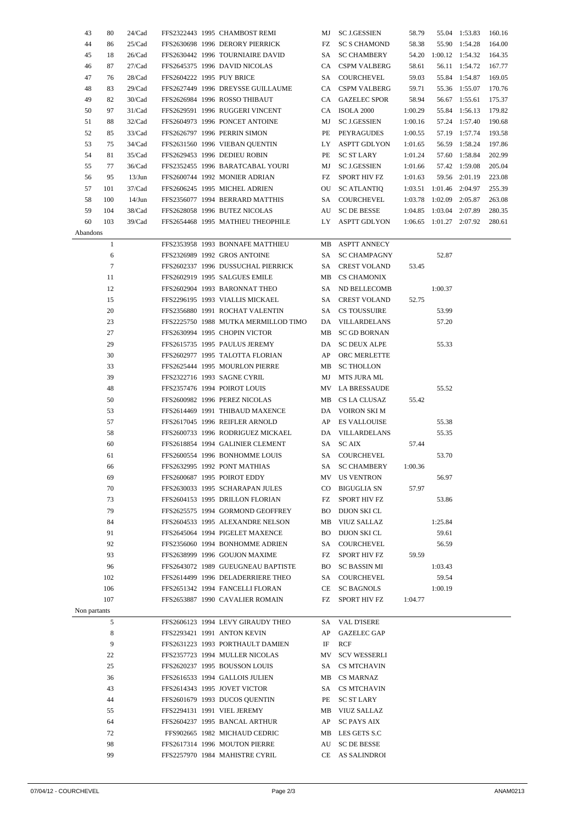| 43           | 80           | 24/Cad    |  | FFS2322443 1995 CHAMBOST REMI                                  |           | MJ SC J.GESSIEN        | 58.79   |         | 55.04 1:53.83                | 160.16 |
|--------------|--------------|-----------|--|----------------------------------------------------------------|-----------|------------------------|---------|---------|------------------------------|--------|
| 44           | 86           | 25/Cad    |  | FFS2630698 1996 DERORY PIERRICK                                | FZ        | <b>SC S CHAMOND</b>    | 58.38   |         | 55.90 1:54.28                | 164.00 |
| 45           | 18           | 26/Cad    |  | FFS2630442 1996 TOURNIAIRE DAVID                               |           | SA SC CHAMBERY         |         |         | 54.20 1:00.12 1:54.32 164.35 |        |
| 46           | 87           | 27/Cad    |  | FFS2645375 1996 DAVID NICOLAS                                  |           | CA CSPM VALBERG        | 58.61   |         | 56.11 1:54.72                | 167.77 |
| 47           | 76           | 28/Cad    |  | FFS2604222 1995 PUY BRICE                                      |           | SA COURCHEVEL          | 59.03   |         | 55.84 1:54.87                | 169.05 |
| 48           | 83           | 29/Cad    |  | FFS2627449 1996 DREYSSE GUILLAUME                              |           | CA CSPM VALBERG        | 59.71   |         | 55.36 1:55.07                | 170.76 |
| 49           | 82           | 30/Cad    |  | FFS2626984 1996 ROSSO THIBAUT                                  |           | CA GAZELEC SPOR        | 58.94   |         | 56.67 1:55.61                | 175.37 |
| 50           | 97           | 31/Cad    |  | FFS2629591 1996 RUGGERI VINCENT                                |           | CA ISOLA 2000          | 1:00.29 |         | 55.84 1:56.13                | 179.82 |
| 51           | 88           | 32/Cad    |  | FFS2604973 1996 PONCET ANTOINE                                 | MJ        | SC J.GESSIEN           | 1:00.16 |         | 57.24 1:57.40                | 190.68 |
| 52           | 85           | 33/Cad    |  | FFS2626797 1996 PERRIN SIMON                                   |           | PE PEYRAGUDES          | 1:00.55 |         | 57.19 1:57.74                | 193.58 |
| 53           | 75           | 34/Cad    |  | FFS2631560 1996 VIEBAN QUENTIN                                 |           | LY ASPTT GDLYON        | 1:01.65 |         | 56.59 1:58.24                | 197.86 |
| 54           | 81           | 35/Cad    |  | FFS2629453 1996 DEDIEU ROBIN                                   |           | PE SC ST LARY          | 1:01.24 |         | 57.60 1:58.84                | 202.99 |
| 55           | 77           | 36/Cad    |  | FFS2352455 1996 BARATCABAL YOURI                               | MJ        | SC J.GESSIEN           | 1:01.66 |         | 57.42 1:59.08                | 205.04 |
| 56           | 95           | $13/J$ un |  | FFS2600744 1992 MONIER ADRIAN                                  |           | FZ SPORT HIV FZ        | 1:01.63 |         | 59.56 2:01.19                | 223.08 |
| 57           | 101          | 37/Cad    |  | FFS2606245 1995 MICHEL ADRIEN                                  | OU        | SC ATLANTIQ            |         |         | 1:03.51 1:01.46 2:04.97      | 255.39 |
| 58           | 100          | $14/J$ un |  | FFS2356077 1994 BERRARD MATTHIS                                |           | SA COURCHEVEL          |         |         | 1:03.78 1:02.09 2:05.87      | 263.08 |
| 59           | 104          | 38/Cad    |  | FFS2628058 1996 BUTEZ NICOLAS                                  |           | AU SC DE BESSE         |         |         | 1:04.85 1:03.04 2:07.89      | 280.35 |
| 60           | 103          | 39/Cad    |  | FFS2654468 1995 MATHIEU THEOPHILE                              |           | LY ASPTT GDLYON        |         |         | 1:06.65 1:01.27 2:07.92      | 280.61 |
| Abandons     |              |           |  |                                                                |           |                        |         |         |                              |        |
|              | $\mathbf{1}$ |           |  | FFS2353958 1993 BONNAFE MATTHIEU                               |           | MB ASPTT ANNECY        |         |         |                              |        |
|              | 6            |           |  | FFS2326989 1992 GROS ANTOINE                                   |           | SA SC CHAMPAGNY        |         | 52.87   |                              |        |
|              | $\tau$       |           |  | FFS2602337 1996 DUSSUCHAL PIERRICK                             |           | SA CREST VOLAND        | 53.45   |         |                              |        |
|              | 11           |           |  | FFS2602919 1995 SALGUES EMILE                                  |           | MB CS CHAMONIX         |         |         |                              |        |
|              | 12           |           |  | FFS2602904 1993 BARONNAT THEO                                  |           | SA ND BELLECOMB        |         | 1:00.37 |                              |        |
|              | 15           |           |  | FFS2296195 1993 VIALLIS MICKAEL                                |           | SA CREST VOLAND        | 52.75   |         |                              |        |
|              | 20           |           |  | FFS2356880 1991 ROCHAT VALENTIN                                |           | SA CS TOUSSUIRE        |         | 53.99   |                              |        |
|              | 23           |           |  | FFS2225750 1988 MUTKA MERMILLOD TIMO                           |           | DA VILLARDELANS        |         | 57.20   |                              |        |
|              | 27           |           |  | FFS2630994 1995 CHOPIN VICTOR                                  |           | MB SC GD BORNAN        |         |         |                              |        |
|              | 29           |           |  | FFS2615735 1995 PAULUS JEREMY                                  |           | DA SC DEUX ALPE        |         | 55.33   |                              |        |
|              | 30           |           |  | FFS2602977 1995 TALOTTA FLORIAN                                |           | AP ORC MERLETTE        |         |         |                              |        |
|              | 33           |           |  | FFS2625444 1995 MOURLON PIERRE                                 |           | MB SC THOLLON          |         |         |                              |        |
|              | 39           |           |  | FFS2322716 1993 SAGNE CYRIL                                    | MJ        | MTS JURA ML            |         |         |                              |        |
|              | 48           |           |  | FFS2357476 1994 POIROT LOUIS                                   |           | MV LA BRESSAUDE        |         | 55.52   |                              |        |
|              | 50           |           |  | FFS2600982 1996 PEREZ NICOLAS                                  |           | MB CS LA CLUSAZ        | 55.42   |         |                              |        |
|              | 53           |           |  | FFS2614469 1991 THIBAUD MAXENCE                                |           | DA VOIRON SKI M        |         |         |                              |        |
|              | 57           |           |  | FFS2617045 1996 REIFLER ARNOLD                                 |           | AP ES VALLOUISE        |         | 55.38   |                              |        |
|              | 58           |           |  | FFS2600733 1996 RODRIGUEZ MICKAEL                              |           | DA VILLARDELANS        |         | 55.35   |                              |        |
|              | 60           |           |  | FFS2618854 1994 GALINIER CLEMENT                               |           | SA SCAIX               | 57.44   |         |                              |        |
|              | 61           |           |  | FFS2600554 1996 BONHOMME LOUIS                                 |           | SA COURCHEVEL          |         | 53.70   |                              |        |
|              | 66           |           |  | FFS2632995 1992 PONT MATHIAS                                   |           | SA SC CHAMBERY 1:00.36 |         |         |                              |        |
|              | 69           |           |  | FFS2600687 1995 POIROT EDDY                                    |           | MV US VENTRON          |         | 56.97   |                              |        |
|              | 70           |           |  | FFS2630033 1995 SCHARAPAN JULES                                | $\rm{CO}$ | BIGUGLIA SN            | 57.97   |         |                              |        |
|              | 73           |           |  | FFS2604153 1995 DRILLON FLORIAN                                | FZ        | SPORT HIV FZ           |         | 53.86   |                              |        |
|              | 79           |           |  | FFS2625575 1994 GORMOND GEOFFREY                               |           | <b>BO</b> DIJON SKICL  |         |         |                              |        |
|              | 84           |           |  | FFS2604533 1995 ALEXANDRE NELSON                               |           | MB VIUZ SALLAZ         |         | 1:25.84 |                              |        |
|              | 91           |           |  | FFS2645064 1994 PIGELET MAXENCE                                |           | <b>BO</b> DIJON SKICL  |         | 59.61   |                              |        |
|              | 92           |           |  | FFS2356060 1994 BONHOMME ADRIEN                                |           | SA COURCHEVEL          |         | 56.59   |                              |        |
|              | 93           |           |  | FFS2638999 1996 GOUJON MAXIME                                  |           | FZ SPORT HIV FZ        | 59.59   |         |                              |        |
|              | 96           |           |  | FFS2643072 1989 GUEUGNEAU BAPTISTE                             |           | <b>BO</b> SC BASSIN MI |         | 1:03.43 |                              |        |
|              | 102          |           |  | FFS2614499 1996 DELADERRIERE THEO                              |           | SA COURCHEVEL          |         | 59.54   |                              |        |
|              | 106          |           |  | FFS2651342 1994 FANCELLI FLORAN                                |           | CE SC BAGNOLS          |         | 1:00.19 |                              |        |
|              | 107          |           |  | FFS2653887 1990 CAVALIER ROMAIN                                | FZ        | SPORT HIV FZ           | 1:04.77 |         |                              |        |
| Non partants |              |           |  |                                                                |           |                        |         |         |                              |        |
|              | 5            |           |  | FFS2606123 1994 LEVY GIRAUDY THEO                              |           | SA VAL D'ISERE         |         |         |                              |        |
|              | 8            |           |  | FFS2293421 1991 ANTON KEVIN                                    | AP        | <b>GAZELEC GAP</b>     |         |         |                              |        |
|              | 9            |           |  | FFS2631223 1993 PORTHAULT DAMIEN                               | IF        | RCF                    |         |         |                              |        |
|              | 22           |           |  | FFS2357723 1994 MULLER NICOLAS                                 | MV        | <b>SCV WESSERLI</b>    |         |         |                              |        |
|              | 25           |           |  | FFS2620237 1995 BOUSSON LOUIS                                  | SA –      | CS MTCHAVIN            |         |         |                              |        |
|              | 36           |           |  | FFS2616533 1994 GALLOIS JULIEN                                 |           | MB CS MARNAZ           |         |         |                              |        |
|              | 43           |           |  | FFS2614343 1995 JOVET VICTOR                                   | SA        | CS MTCHAVIN            |         |         |                              |        |
|              | 44           |           |  | FFS2601679 1993 DUCOS QUENTIN                                  | PE        | <b>SC ST LARY</b>      |         |         |                              |        |
|              | 55           |           |  | FFS2294131 1991 VIEL JEREMY                                    |           | MB VIUZ SALLAZ         |         |         |                              |        |
|              | 64           |           |  | FFS2604237 1995 BANCAL ARTHUR                                  | AP        | <b>SC PAYS AIX</b>     |         |         |                              |        |
|              | 72<br>98     |           |  | FFS902665 1982 MICHAUD CEDRIC<br>FFS2617314 1996 MOUTON PIERRE |           | MB LES GETS S.C        |         |         |                              |        |
|              |              |           |  |                                                                | AU        | SC DE BESSE            |         |         |                              |        |
|              | 99           |           |  | FFS2257970 1984 MAHISTRE CYRIL                                 |           | CE AS SALINDROI        |         |         |                              |        |